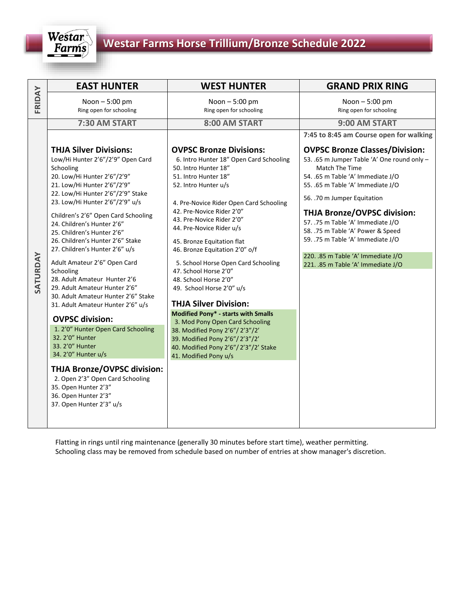

|          | <b>EAST HUNTER</b>                                                                                                                                                                                                                                                                                                                                                                                                                                                                                                                                                                                                                                                                                                                                                                                                                                                          | <b>WEST HUNTER</b>                                                                                                                                                                                                                                                                                                                                                                                                                                                                                                                                                                                                                                                                                                      | <b>GRAND PRIX RING</b>                                                                                                                                                                                                                                                                                                                                                                                                                           |
|----------|-----------------------------------------------------------------------------------------------------------------------------------------------------------------------------------------------------------------------------------------------------------------------------------------------------------------------------------------------------------------------------------------------------------------------------------------------------------------------------------------------------------------------------------------------------------------------------------------------------------------------------------------------------------------------------------------------------------------------------------------------------------------------------------------------------------------------------------------------------------------------------|-------------------------------------------------------------------------------------------------------------------------------------------------------------------------------------------------------------------------------------------------------------------------------------------------------------------------------------------------------------------------------------------------------------------------------------------------------------------------------------------------------------------------------------------------------------------------------------------------------------------------------------------------------------------------------------------------------------------------|--------------------------------------------------------------------------------------------------------------------------------------------------------------------------------------------------------------------------------------------------------------------------------------------------------------------------------------------------------------------------------------------------------------------------------------------------|
| FRIDAY   | Noon - 5:00 pm<br>Ring open for schooling                                                                                                                                                                                                                                                                                                                                                                                                                                                                                                                                                                                                                                                                                                                                                                                                                                   | Noon - 5:00 pm<br>Ring open for schooling                                                                                                                                                                                                                                                                                                                                                                                                                                                                                                                                                                                                                                                                               | Noon - 5:00 pm<br>Ring open for schooling                                                                                                                                                                                                                                                                                                                                                                                                        |
|          | 7:30 AM START                                                                                                                                                                                                                                                                                                                                                                                                                                                                                                                                                                                                                                                                                                                                                                                                                                                               | 8:00 AM START                                                                                                                                                                                                                                                                                                                                                                                                                                                                                                                                                                                                                                                                                                           | 9:00 AM START                                                                                                                                                                                                                                                                                                                                                                                                                                    |
|          |                                                                                                                                                                                                                                                                                                                                                                                                                                                                                                                                                                                                                                                                                                                                                                                                                                                                             |                                                                                                                                                                                                                                                                                                                                                                                                                                                                                                                                                                                                                                                                                                                         | 7:45 to 8:45 am Course open for walking                                                                                                                                                                                                                                                                                                                                                                                                          |
| SATURDAY | <b>THJA Silver Divisions:</b><br>Low/Hi Hunter 2'6"/2'9" Open Card<br>Schooling<br>20. Low/Hi Hunter 2'6"/2'9"<br>21. Low/Hi Hunter 2'6"/2'9"<br>22. Low/Hi Hunter 2'6"/2'9" Stake<br>23. Low/Hi Hunter 2'6"/2'9" u/s<br>Children's 2'6" Open Card Schooling<br>24. Children's Hunter 2'6"<br>25. Children's Hunter 2'6"<br>26. Children's Hunter 2'6" Stake<br>27. Children's Hunter 2'6" u/s<br>Adult Amateur 2'6" Open Card<br>Schooling<br>28. Adult Amateur Hunter 2'6<br>29. Adult Amateur Hunter 2'6"<br>30. Adult Amateur Hunter 2'6" Stake<br>31. Adult Amateur Hunter 2'6" u/s<br><b>OVPSC division:</b><br>1. 2'0" Hunter Open Card Schooling<br>32. 2'0" Hunter<br>33. 2'0" Hunter<br>34. 2'0" Hunter u/s<br><b>THJA Bronze/OVPSC division:</b><br>2. Open 2'3" Open Card Schooling<br>35. Open Hunter 2'3"<br>36. Open Hunter 2'3"<br>37. Open Hunter 2'3" u/s | <b>OVPSC Bronze Divisions:</b><br>6. Intro Hunter 18" Open Card Schooling<br>50. Intro Hunter 18"<br>51. Intro Hunter 18"<br>52. Intro Hunter u/s<br>4. Pre-Novice Rider Open Card Schooling<br>42. Pre-Novice Rider 2'0"<br>43. Pre-Novice Rider 2'0"<br>44. Pre-Novice Rider u/s<br>45. Bronze Equitation flat<br>46. Bronze Equitation 2'0" o/f<br>5. School Horse Open Card Schooling<br>47. School Horse 2'0"<br>48. School Horse 2'0"<br>49. School Horse 2'0" u/s<br><b>THJA Silver Division:</b><br>Modified Pony* - starts with Smalls<br>3. Mod Pony Open Card Schooling<br>38. Modified Pony 2'6"/2'3"/2'<br>39. Modified Pony 2'6"/2'3"/2'<br>40. Modified Pony 2'6"/2'3"/2' Stake<br>41. Modified Pony u/s | <b>OVPSC Bronze Classes/Division:</b><br>53. .65 m Jumper Table 'A' One round only -<br>Match The Time<br>54. .65 m Table 'A' Immediate J/O<br>55. .65 m Table 'A' Immediate J/O<br>56. .70 m Jumper Equitation<br><b>THJA Bronze/OVPSC division:</b><br>57. .75 m Table 'A' Immediate J/O<br>58. .75 m Table 'A' Power & Speed<br>59. .75 m Table 'A' Immediate J/O<br>220. .85 m Table 'A' Immediate J/O<br>221. .85 m Table 'A' Immediate J/O |

Flatting in rings until ring maintenance (generally 30 minutes before start time), weather permitting. Schooling class may be removed from schedule based on number of entries at show manager's discretion.